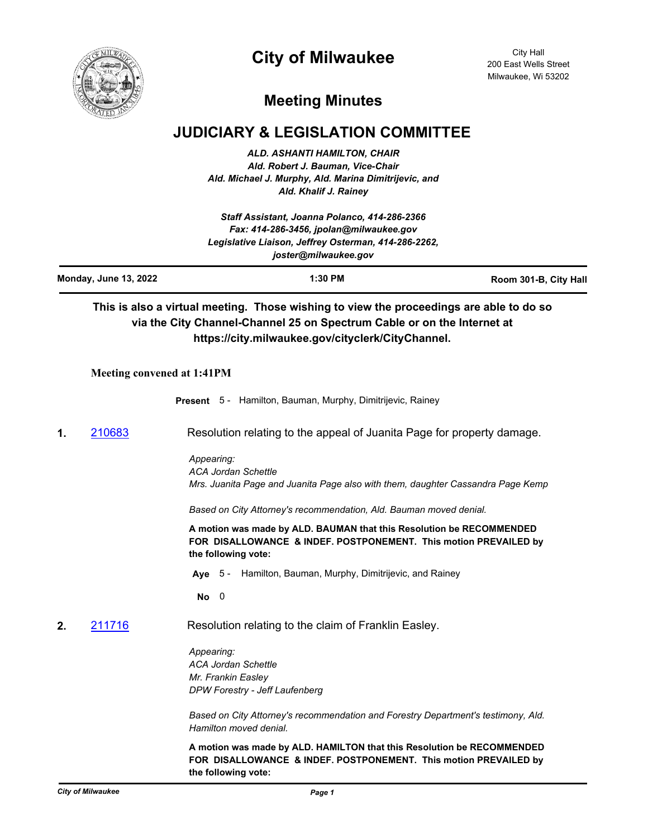

# **City of Milwaukee**

City Hall 200 East Wells Street Milwaukee, Wi 53202

## **Meeting Minutes**

## **JUDICIARY & LEGISLATION COMMITTEE**

*ALD. ASHANTI HAMILTON, CHAIR Ald. Robert J. Bauman, Vice-Chair Ald. Michael J. Murphy, Ald. Marina Dimitrijevic, and Ald. Khalif J. Rainey*

| Staff Assistant, Joanna Polanco, 414-286-2366<br>Fax: 414-286-3456, jpolan@milwaukee.gov<br>Legislative Liaison, Jeffrey Osterman, 414-286-2262,<br>joster@milwaukee.gov |                                   |                                                                                                  |                                                                      |                                                                                                                                            |  |  |
|--------------------------------------------------------------------------------------------------------------------------------------------------------------------------|-----------------------------------|--------------------------------------------------------------------------------------------------|----------------------------------------------------------------------|--------------------------------------------------------------------------------------------------------------------------------------------|--|--|
|                                                                                                                                                                          | <b>Monday, June 13, 2022</b>      | 1:30 PM<br>Room 301-B, City Hall                                                                 |                                                                      |                                                                                                                                            |  |  |
|                                                                                                                                                                          |                                   | via the City Channel-Channel 25 on Spectrum Cable or on the Internet at                          | https://city.milwaukee.gov/cityclerk/CityChannel.                    | This is also a virtual meeting. Those wishing to view the proceedings are able to do so                                                    |  |  |
|                                                                                                                                                                          | <b>Meeting convened at 1:41PM</b> |                                                                                                  |                                                                      |                                                                                                                                            |  |  |
|                                                                                                                                                                          |                                   | Present 5 - Hamilton, Bauman, Murphy, Dimitrijevic, Rainey                                       |                                                                      |                                                                                                                                            |  |  |
| 1.                                                                                                                                                                       | 210683                            | Resolution relating to the appeal of Juanita Page for property damage.                           |                                                                      |                                                                                                                                            |  |  |
|                                                                                                                                                                          |                                   | Appearing:<br><b>ACA Jordan Schettle</b>                                                         |                                                                      | Mrs. Juanita Page and Juanita Page also with them, daughter Cassandra Page Kemp                                                            |  |  |
|                                                                                                                                                                          |                                   |                                                                                                  | Based on City Attorney's recommendation, Ald. Bauman moved denial.   |                                                                                                                                            |  |  |
|                                                                                                                                                                          |                                   | the following vote:                                                                              | A motion was made by ALD. BAUMAN that this Resolution be RECOMMENDED | FOR DISALLOWANCE & INDEF. POSTPONEMENT. This motion PREVAILED by                                                                           |  |  |
|                                                                                                                                                                          |                                   |                                                                                                  | Aye 5 - Hamilton, Bauman, Murphy, Dimitrijevic, and Rainey           |                                                                                                                                            |  |  |
|                                                                                                                                                                          |                                   | $\overline{\phantom{0}}$<br>No                                                                   |                                                                      |                                                                                                                                            |  |  |
| 2.                                                                                                                                                                       | 211716                            |                                                                                                  | Resolution relating to the claim of Franklin Easley.                 |                                                                                                                                            |  |  |
|                                                                                                                                                                          |                                   | Appearing:<br><b>ACA Jordan Schettle</b><br>Mr. Frankin Easley<br>DPW Forestry - Jeff Laufenberg |                                                                      |                                                                                                                                            |  |  |
|                                                                                                                                                                          |                                   | Hamilton moved denial.                                                                           |                                                                      | Based on City Attorney's recommendation and Forestry Department's testimony, Ald.                                                          |  |  |
|                                                                                                                                                                          |                                   | the following vote:                                                                              |                                                                      | A motion was made by ALD. HAMILTON that this Resolution be RECOMMENDED<br>FOR DISALLOWANCE & INDEF. POSTPONEMENT. This motion PREVAILED by |  |  |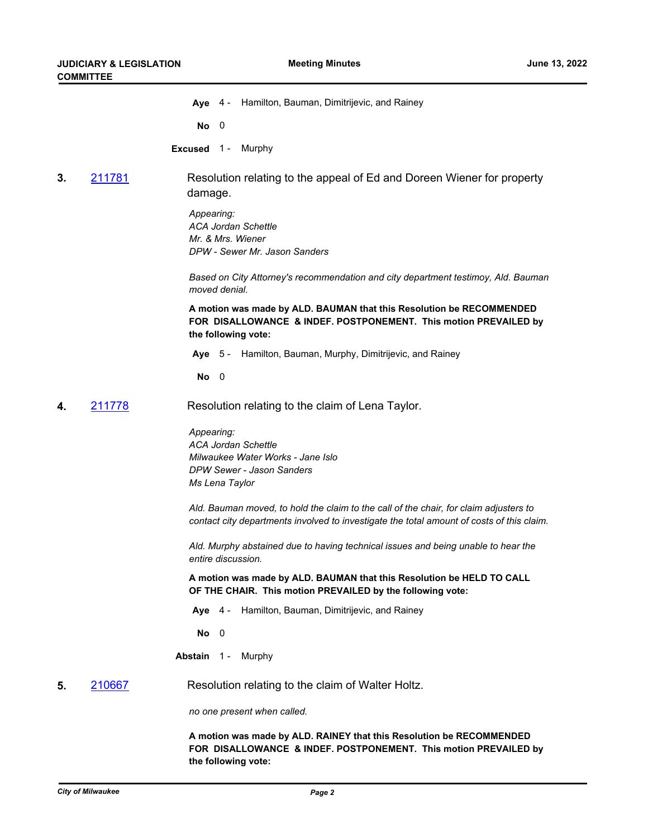**Aye** 4 - Hamilton, Bauman, Dimitrijevic, and Rainey

**No** 0

**Excused** 1 - Murphy

### **3.** [211781](http://milwaukee.legistar.com/gateway.aspx?m=l&id=/matter.aspx?key=61553) Resolution relating to the appeal of Ed and Doreen Wiener for property damage.

*Appearing: ACA Jordan Schettle Mr. & Mrs. Wiener DPW - Sewer Mr. Jason Sanders* 

*Based on City Attorney's recommendation and city department testimoy, Ald. Bauman moved denial.*

**A motion was made by ALD. BAUMAN that this Resolution be RECOMMENDED FOR DISALLOWANCE & INDEF. POSTPONEMENT. This motion PREVAILED by the following vote:**

**Aye** 5 - Hamilton, Bauman, Murphy, Dimitrijevic, and Rainey

**No** 0

**4.** [211778](http://milwaukee.legistar.com/gateway.aspx?m=l&id=/matter.aspx?key=61549) Resolution relating to the claim of Lena Taylor.

*Appearing: ACA Jordan Schettle Milwaukee Water Works - Jane Islo DPW Sewer - Jason Sanders Ms Lena Taylor* 

*Ald. Bauman moved, to hold the claim to the call of the chair, for claim adjusters to contact city departments involved to investigate the total amount of costs of this claim.*

*Ald. Murphy abstained due to having technical issues and being unable to hear the entire discussion.*

**A motion was made by ALD. BAUMAN that this Resolution be HELD TO CALL OF THE CHAIR. This motion PREVAILED by the following vote:**

**Aye** 4 - Hamilton, Bauman, Dimitrijevic, and Rainey

**No** 0

**Abstain** 1 - Murphy

#### **5.** [210667](http://milwaukee.legistar.com/gateway.aspx?m=l&id=/matter.aspx?key=59892) Resolution relating to the claim of Walter Holtz.

*no one present when called.*

**A motion was made by ALD. RAINEY that this Resolution be RECOMMENDED FOR DISALLOWANCE & INDEF. POSTPONEMENT. This motion PREVAILED by the following vote:**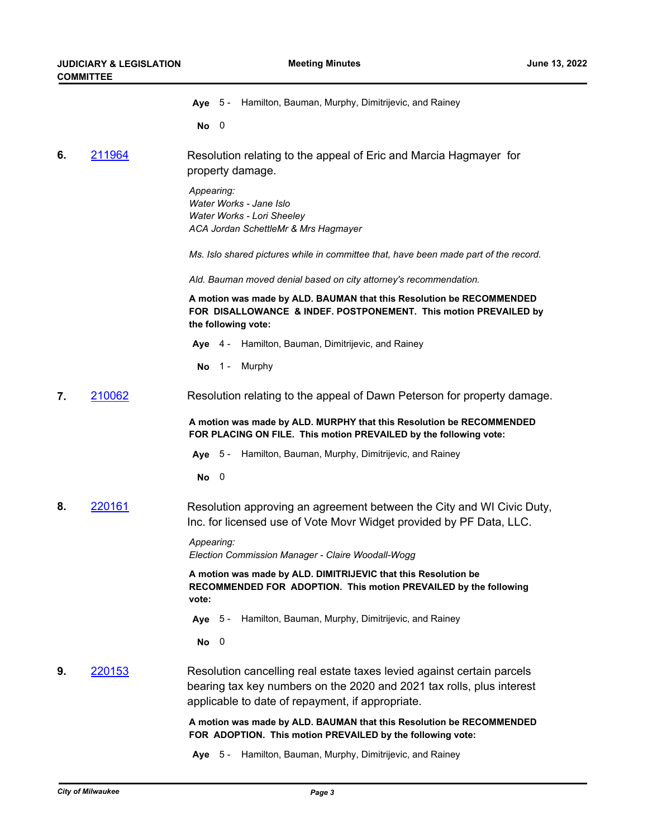|  | Aye 5 - Hamilton, Bauman, Murphy, Dimitrijevic, and Rainey |  |
|--|------------------------------------------------------------|--|
|  |                                                            |  |

**No** 0

**6.** [211964](http://milwaukee.legistar.com/gateway.aspx?m=l&id=/matter.aspx?key=61863) Resolution relating to the appeal of Eric and Marcia Hagmayer for property damage.

> *Appearing: Water Works - Jane Islo Water Works - Lori Sheeley ACA Jordan SchettleMr & Mrs Hagmayer*

*Ms. Islo shared pictures while in committee that, have been made part of the record.* 

*Ald. Bauman moved denial based on city attorney's recommendation.*

**A motion was made by ALD. BAUMAN that this Resolution be RECOMMENDED FOR DISALLOWANCE & INDEF. POSTPONEMENT. This motion PREVAILED by the following vote:**

- **Aye** 4 Hamilton, Bauman, Dimitrijevic, and Rainey
- **No** 1 Murphy
- **7.** [210062](http://milwaukee.legistar.com/gateway.aspx?m=l&id=/matter.aspx?key=57000) Resolution relating to the appeal of Dawn Peterson for property damage.

**A motion was made by ALD. MURPHY that this Resolution be RECOMMENDED FOR PLACING ON FILE. This motion PREVAILED by the following vote:**

**Aye** 5 - Hamilton, Bauman, Murphy, Dimitrijevic, and Rainey

**No** 0

**8.** [220161](http://milwaukee.legistar.com/gateway.aspx?m=l&id=/matter.aspx?key=62267) Resolution approving an agreement between the City and WI Civic Duty, Inc. for licensed use of Vote Movr Widget provided by PF Data, LLC.

> *Appearing: Election Commission Manager - Claire Woodall-Wogg*

**A motion was made by ALD. DIMITRIJEVIC that this Resolution be RECOMMENDED FOR ADOPTION. This motion PREVAILED by the following vote:**

- **Aye** 5 Hamilton, Bauman, Murphy, Dimitrijevic, and Rainey
- **No** 0
- **9.** [220153](http://milwaukee.legistar.com/gateway.aspx?m=l&id=/matter.aspx?key=62253) Resolution cancelling real estate taxes levied against certain parcels bearing tax key numbers on the 2020 and 2021 tax rolls, plus interest applicable to date of repayment, if appropriate.

**A motion was made by ALD. BAUMAN that this Resolution be RECOMMENDED FOR ADOPTION. This motion PREVAILED by the following vote:**

**Aye** 5 - Hamilton, Bauman, Murphy, Dimitrijevic, and Rainey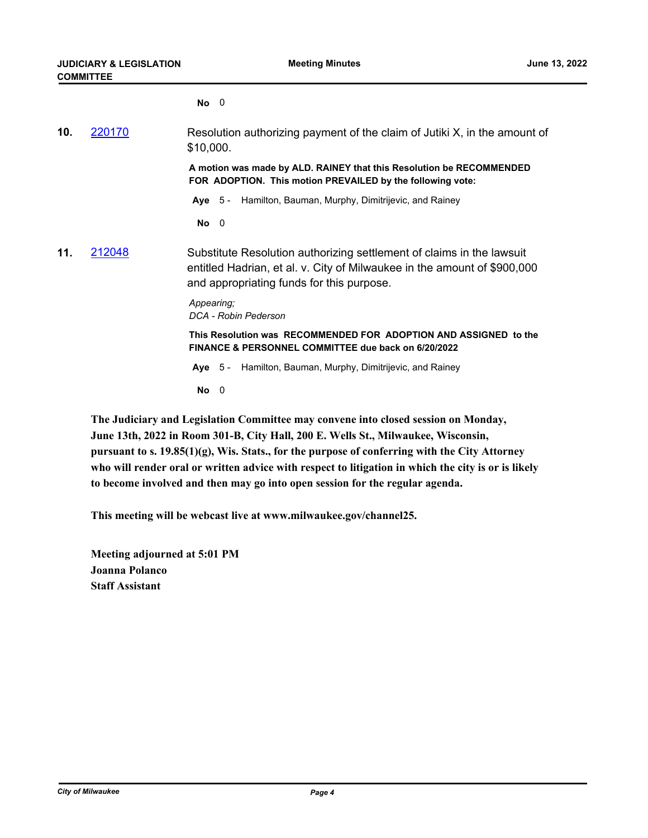**No** 0

| 10. | 220170 | Resolution authorizing payment of the claim of Jutiki X, in the amount of<br>\$10,000.                                                                                                         |  |
|-----|--------|------------------------------------------------------------------------------------------------------------------------------------------------------------------------------------------------|--|
|     |        | A motion was made by ALD. RAINEY that this Resolution be RECOMMENDED<br>FOR ADOPTION. This motion PREVAILED by the following vote:                                                             |  |
|     |        | Aye 5 - Hamilton, Bauman, Murphy, Dimitrijevic, and Rainey                                                                                                                                     |  |
|     |        | $No$ 0                                                                                                                                                                                         |  |
| 11. | 212048 | Substitute Resolution authorizing settlement of claims in the lawsuit<br>entitled Hadrian, et al. v. City of Milwaukee in the amount of \$900,000<br>and appropriating funds for this purpose. |  |
|     |        | Appearing;<br>DCA - Robin Pederson                                                                                                                                                             |  |
|     |        | This Resolution was RECOMMENDED FOR ADOPTION AND ASSIGNED to the<br>FINANCE & PERSONNEL COMMITTEE due back on 6/20/2022                                                                        |  |
|     |        | Hamilton, Bauman, Murphy, Dimitrijevic, and Rainey<br>Aye $5-$                                                                                                                                 |  |
|     |        | $No$ 0                                                                                                                                                                                         |  |

**The Judiciary and Legislation Committee may convene into closed session on Monday, June 13th, 2022 in Room 301-B, City Hall, 200 E. Wells St., Milwaukee, Wisconsin, pursuant to s. 19.85(1)(g), Wis. Stats., for the purpose of conferring with the City Attorney who will render oral or written advice with respect to litigation in which the city is or is likely to become involved and then may go into open session for the regular agenda.**

**This meeting will be webcast live at www.milwaukee.gov/channel25.**

**Meeting adjourned at 5:01 PM Joanna Polanco Staff Assistant**